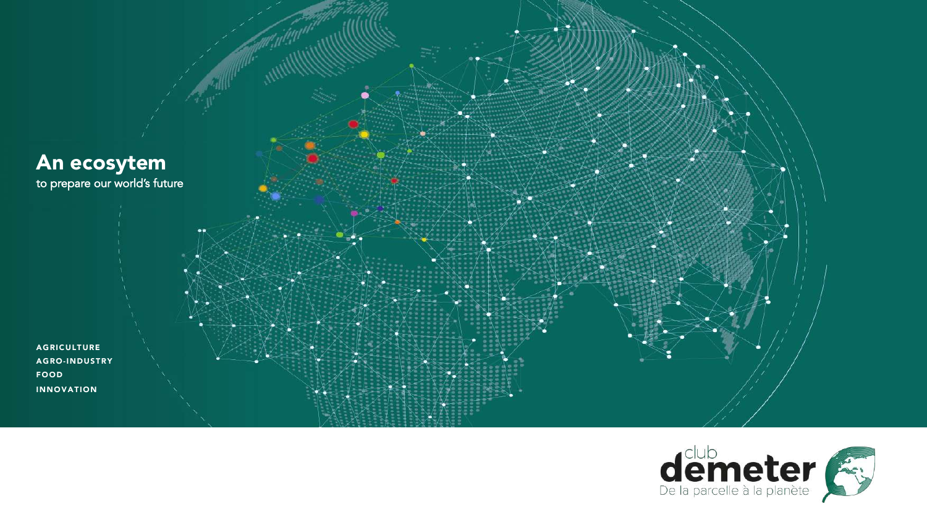

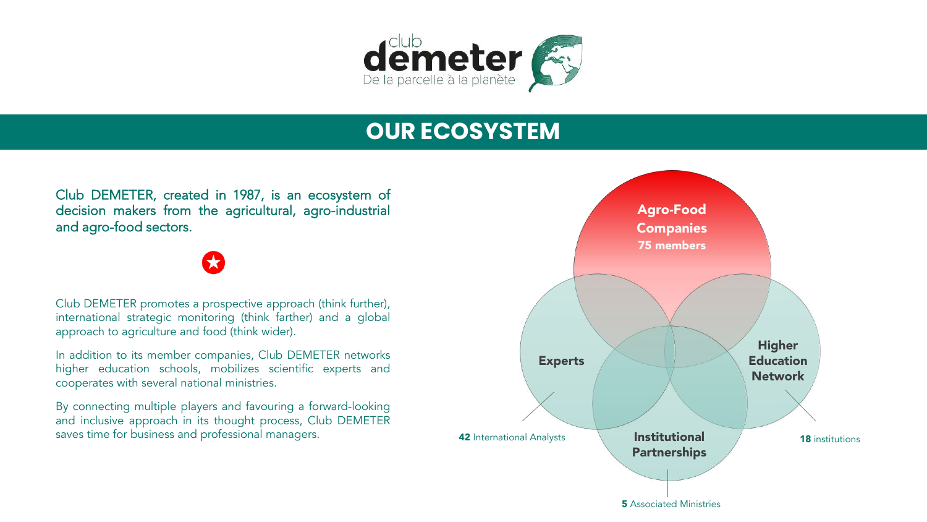

# **OUR ECOSYSTEM**

Club DEMETER, created in 1987, is an ecosystem of decision makers from the agricultural, agro-industrial and agro-food sectors.

Club DEMETER promotes a prospective approach (think further), international strategic monitoring (think farther) and a global approach to agriculture and food (think wider).

In addition to its member companies, Club DEMETER networks higher education schools, mobilizes scientific experts and cooperates with several national ministries.

By connecting multiple players and favouring a forward-looking and inclusive approach in its thought process, Club DEMETER saves time for business and professional managers.

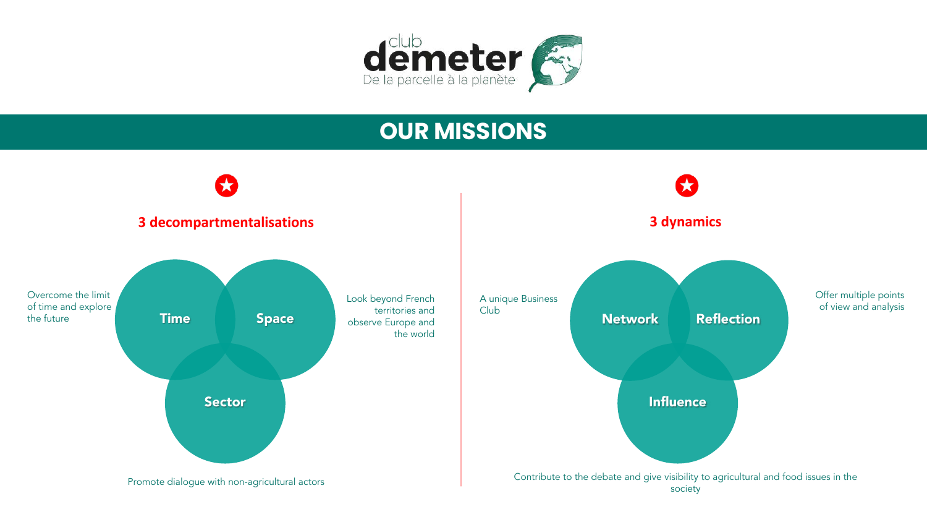

### **OUR MISSIONS**

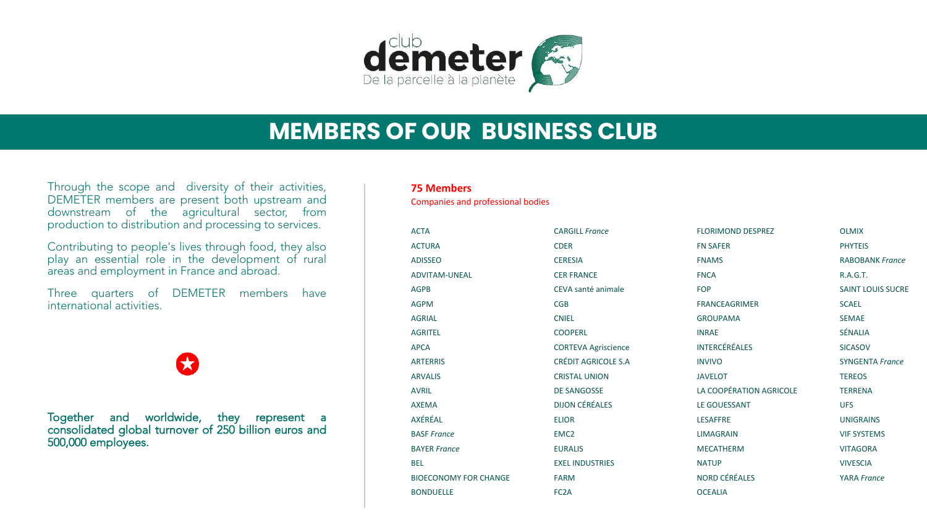

### **MEMBERS OF OUR BUSINESS CLUB**

Through the scope and diversity of their activities, DEMETER members are present both upstream and downstream of the agricultural sector, from production to distribution and processing to services.

**NAIVE** play an essential role in the development of rural Contributing to people's lives through food, they also areas and employment in France and abroad.

Three quarters of DEMETER members have international activities.

Together and worldwide, they represent a consolidated global turnover of 250 billion euros and 500,000 employees.

#### **75 Members**

Companies and professional bodies

| <b>ACTA</b>                  | <b>CARGILL France</b>      | <b>FLORIMOND DESPREZ</b> | <b>OLMIX</b>             |
|------------------------------|----------------------------|--------------------------|--------------------------|
| <b>ACTURA</b>                | <b>CDER</b>                | <b>FN SAFER</b>          | <b>PHYTEIS</b>           |
| <b>ADISSEO</b>               | <b>CERESIA</b>             | <b>FNAMS</b>             | <b>RABOBANK France</b>   |
| <b>ADVITAM-UNEAL</b>         | <b>CER FRANCE</b>          | <b>FNCA</b>              | <b>R.A.G.T.</b>          |
| <b>AGPB</b>                  | CEVA santé animale         | <b>FOP</b>               | <b>SAINT LOUIS SUCRE</b> |
| <b>AGPM</b>                  | CGB                        | <b>FRANCEAGRIMER</b>     | <b>SCAEL</b>             |
| <b>AGRIAL</b>                | <b>CNIEL</b>               | <b>GROUPAMA</b>          | <b>SEMAE</b>             |
| <b>AGRITEL</b>               | <b>COOPERL</b>             | <b>INRAE</b>             | SÉNALIA                  |
| <b>APCA</b>                  | <b>CORTEVA Agriscience</b> | <b>INTERCÉRÉALES</b>     | <b>SICASOV</b>           |
| <b>ARTERRIS</b>              | <b>CRÉDIT AGRICOLE S.A</b> | <b>INVIVO</b>            | <b>SYNGENTA France</b>   |
| <b>ARVALIS</b>               | <b>CRISTAL UNION</b>       | <b>JAVELOT</b>           | <b>TEREOS</b>            |
| <b>AVRIL</b>                 | <b>DE SANGOSSE</b>         | LA COOPÉRATION AGRICOLE  | <b>TERRENA</b>           |
| <b>AXEMA</b>                 | <b>DIJON CÉRÉALES</b>      | LE GOUESSANT             | <b>UFS</b>               |
| AXÉRÉAL                      | <b>ELIOR</b>               | <b>LESAFFRE</b>          | <b>UNIGRAINS</b>         |
| <b>BASF France</b>           | EMC <sub>2</sub>           | <b>LIMAGRAIN</b>         | <b>VIF SYSTEMS</b>       |
| <b>BAYER France</b>          | <b>EURALIS</b>             | <b>MECATHERM</b>         | <b>VITAGORA</b>          |
| <b>BEL</b>                   | <b>EXEL INDUSTRIES</b>     | <b>NATUP</b>             | <b>VIVESCIA</b>          |
| <b>BIOECONOMY FOR CHANGE</b> | <b>FARM</b>                | NORD CÉRÉALES            | <b>YARA France</b>       |
| <b>BONDUELLE</b>             | FC <sub>2</sub> A          | <b>OCEALIA</b>           |                          |
|                              |                            |                          |                          |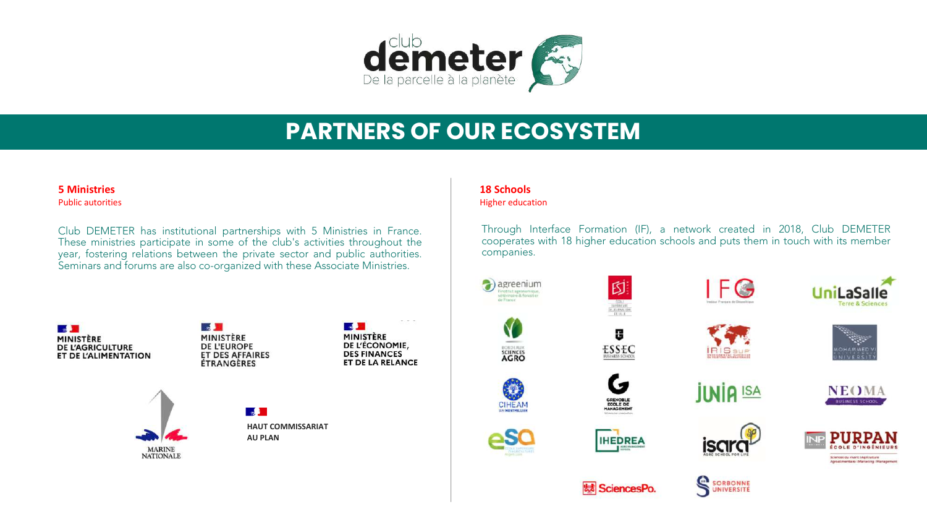

### **PARTNERS OF OUR ECOSYSTEM**

#### **5 Ministries** Public autorities

year, fostering relations between the private sector and public authorities. Club DEMETER has institutional partnerships with 5 Ministries in France. These ministries participate in some of the club's activities throughout the Seminars and forums are also co-organized with these Associate Ministries.



 $\sqrt{2}$ MINISTÈRE **DE L'EUROPE ET DES AFFAIRES ÉTRANGÈRES** 





 $\mathbb{Z}$ **HAUT COMMISSARIAT AU PLAN**

### **18 Schools**

Higher education

Through Interface Formation (IF), a network created in 2018, Club DEMETER cooperates with 18 higher education schools and puts them in touch with its member companies.



CROLAU

**SCIENCES** 

**CIHEAM** 





GRENOBLE<br>ECOLE DE<br>MANAGEMENT

**IHEDREA** 













**魅 SciencesPo** 





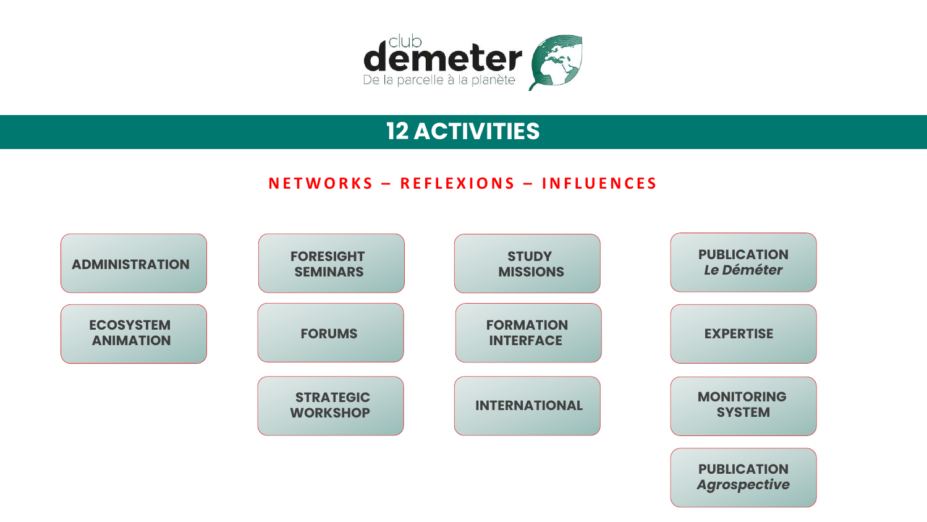

### **12 ACTIVITIES**

### **<sup>1</sup> <sup>2</sup> <sup>3</sup> <sup>4</sup> NETWORKS – REFLEXIONS – INFLUENCES**

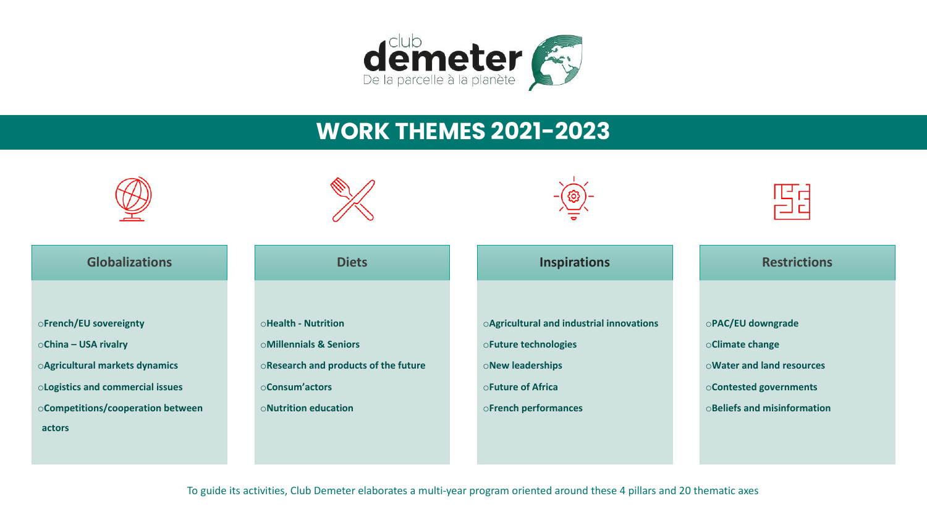

### **WORK THEMES 2021-2023**



To guide its activities, Club Demeter elaborates a multi-year program oriented around these 4 pillars and 20 thematic axes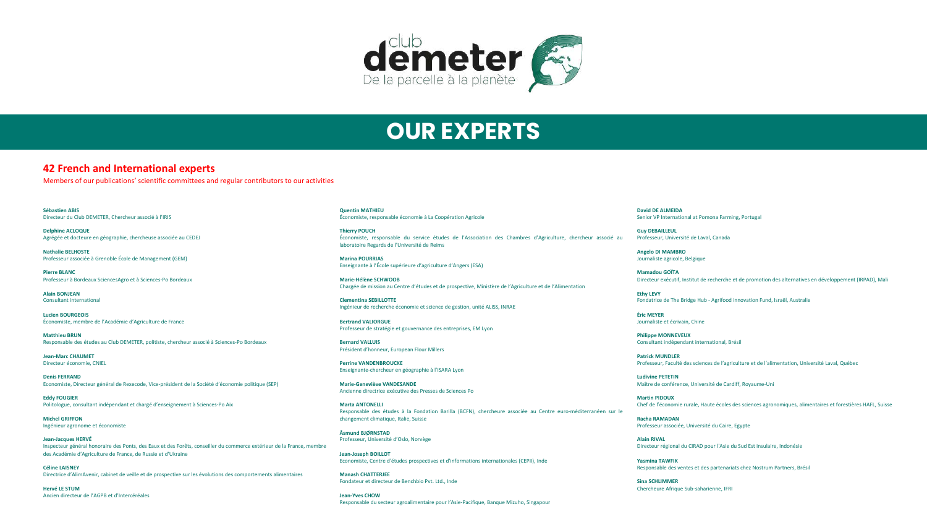

### **OUR EXPERTS**

**42 French and International experts**

Members of our publications' scientific committees and regular contributors to our activities

**Sébastien ABIS** Directeur du Club DEMETER, Chercheur associé à l'IRIS

**Delphine ACLOQUE** Agrégée et docteure en géographie, chercheuse associée au CEDEJ

**Nathalie BELHOSTE**<br>Professeur associée à Grenoble École de Management (GEM) **Nathalie BELHOSTE**

**Pierre BLANC** Professeur à Bordeaux SciencesAgro et à Sciences-Po Bordeaux

**Alain BONJEAN** Consultant international

**Lucien BOURGEOIS** Économiste, membre de l'Académie d'Agriculture de France

**Matthieu BRUN** Responsable des études au Club DEMETER, politiste, chercheur associé à Sciences-Po Bordeaux

**Jean-Marc CHAUMET** Directeur économie, CNIEL

**Denis FERRAND** Economiste, Directeur général de Rexecode, Vice-président de la Société d'économie politique (SEP)

**Eddy FOUGIER** Politologue, consultant indépendant et chargé d'enseignement à Sciences-Po Aix

**Michel GRIFFON** Ingénieur agronome et économiste

**Jean-Jacques HERVÉ** Inspecteur général honoraire des Ponts, des Eaux et des Forêts, conseiller du commerce extérieur de la France, membre des Académie d'Agriculture de France, de Russie et d'Ukraine

**Céline LAISNEY** Directrice d'AlimAvenir, cabinet de veille et de prospective sur les évolutions des comportements alimentaires

**Hervé LE STUM** Ancien directeur de l'AGPB et d'Intercéréales **Quentin MATHIEU** Économiste, responsable économie à La Coopération Agricole

**Thierry POUCH** Économiste, responsable du service études de l'Association des Chambres d'Agriculture, chercheur associé au laboratoire Regards de l'Université de Reims

**Marina POURRIAS** Enseignante à l'École supérieure d'agriculture d'Angers (ESA)

**Marie-Hélène SCHWOOB** Chargée de mission au Centre d'études et de prospective, Ministère de l'Agriculture et de l'Alimentation

**Clementina SEBILLOTTE** Ingénieur de recherche économie et science de gestion, unité ALISS, INRAE

**Bertrand VALIORGUE** Professeur de stratégie et gouvernance des entreprises, EM Lyon

**Bernard VALLUIS** Président d'honneur, European Flour Millers

**Perrine VANDENBROUCKE** Enseignante-chercheur en géographie à l'ISARA Lyon

**Marie-Geneviève VANDESANDE** Ancienne directrice exécutive des Presses de Sciences Po

**Marta ANTONELLI** Responsable des études à la Fondation Barilla (BCFN), chercheure associée au Centre euro-méditerranéen sur le changement climatique, Italie, Suisse

**Åsmund BJØRNSTAD** Professeur, Université d'Oslo, Norvège

**Jean-Joseph BOILLOT** Economiste, Centre d'études prospectives et d'informations internationales (CEPII), Inde

**Manash CHATTERJEE** Fondateur et directeur de Benchbio Pvt. Ltd., Inde

**Jean-Yves CHOW** Responsable du secteur agroalimentaire pour l'Asie-Pacifique, Banque Mizuho, Singapour **David DE ALMEIDA** Senior VP International at Pomona Farming, Portugal

**Guy DEBAILLEUL** Professeur, Université de Laval, Canada

**Angelo DI MAMBRO** Journaliste agricole, Belgique

**Mamadou GOÏTA** Directeur exécutif, Institut de recherche et de promotion des alternatives en développement (IRPAD), Mali

**Ethy LEVY** Fondatrice de The Bridge Hub - Agrifood innovation Fund, Israël, Australie

**Éric MEYER** Journaliste et écrivain, Chine

**Philippe MONNEVEUX** Consultant indépendant international, Brésil

**Patrick MUNDLER** Professeur, Faculté des sciences de l'agriculture et de l'alimentation, Université Laval, Québec

**Ludivine PETETIN** Maître de conférence, Université de Cardiff, Royaume-Uni

**Martin PIDOUX** Chef de l'économie rurale, Haute écoles des sciences agronomiques, alimentaires et forestières HAFL, Suisse

**Racha RAMADAN** Professeur associée, Université du Caire, Egypte

**Alain RIVAL** Directeur régional du CIRAD pour l'Asie du Sud Est insulaire, Indonésie

**Yasmina TAWFIK** Responsable des ventes et des partenariats chez Nostrum Partners, Brésil

**Sina SCHLIMMER** Chercheure Afrique Sub-saharienne, IFRI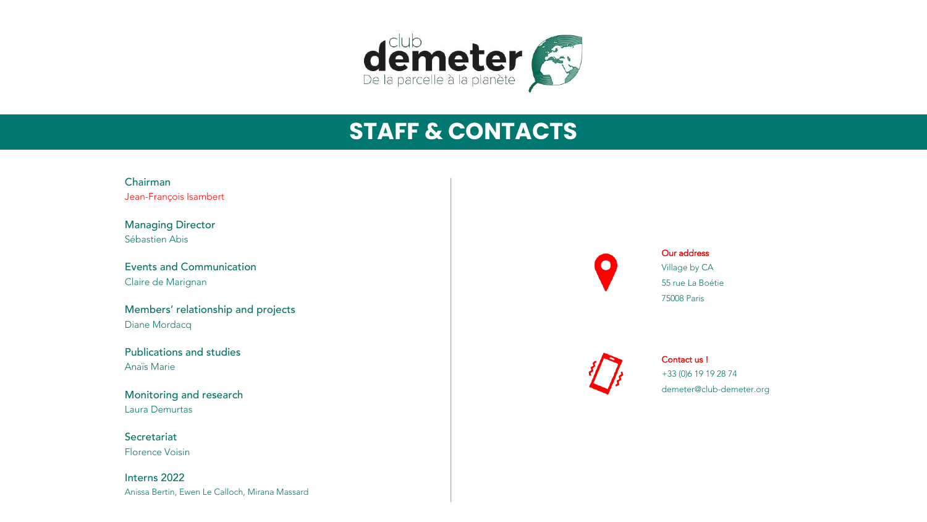

# **STAFF & CONTACTS**

Chairman Jean-François Isambert

Managing Director Sébastien Abis

Events and Communication Claire de Marignan

Members' relationship and projects Diane Mordacq

Publications and studies Anaïs Marie

Monitoring and research Laura Demurtas

**Secretariat** Florence Voisin

Interns 2022 Anissa Bertin, Ewen Le Calloch, Mirana Massard



Our address Village by CA 55 rue La Boétie 75008 Paris



Contact us ! +33 (0)6 19 19 28 74 demeter@club-demeter.org